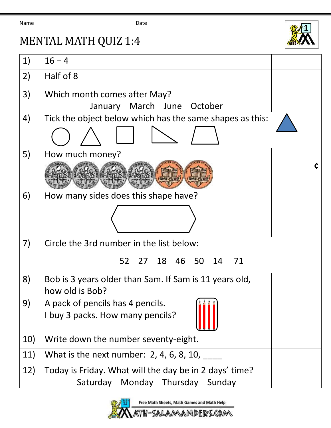Name **Date Date** 



## MENTAL MATH QUIZ 1:4